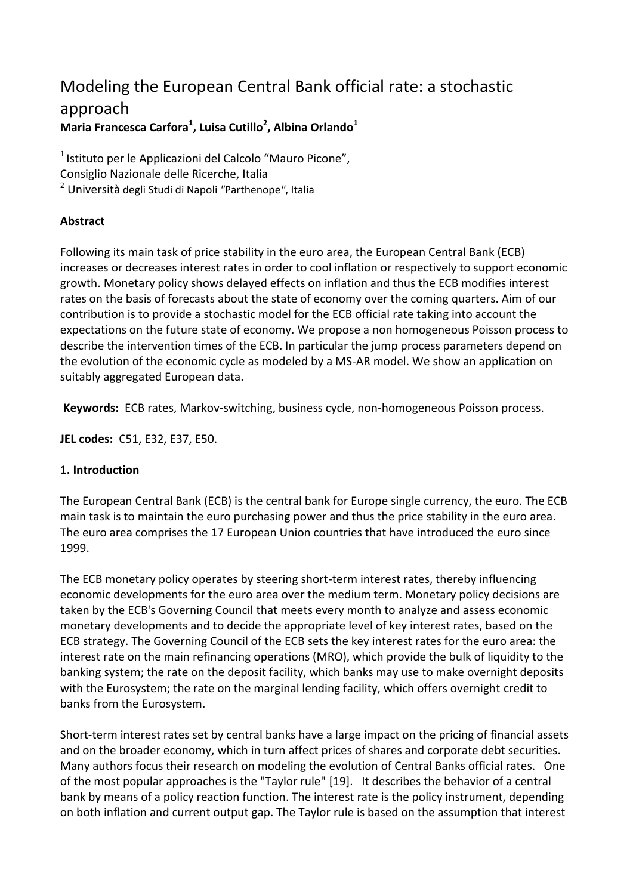# Modeling the European Central Bank official rate: a stochastic approach **Maria Francesca Carfora<sup>1</sup> , Luisa Cutillo<sup>2</sup> , Albina Orlando<sup>1</sup>**

<sup>1</sup> Istituto per le Applicazioni del Calcolo "Mauro Picone", Consiglio Nazionale delle Ricerche, Italia <sup>2</sup> Università degli Studi di Napoli *"*Parthenope*"*, Italia

## **Abstract**

Following its main task of price stability in the euro area, the European Central Bank (ECB) increases or decreases interest rates in order to cool inflation or respectively to support economic growth. Monetary policy shows delayed effects on inflation and thus the ECB modifies interest rates on the basis of forecasts about the state of economy over the coming quarters. Aim of our contribution is to provide a stochastic model for the ECB official rate taking into account the expectations on the future state of economy. We propose a non homogeneous Poisson process to describe the intervention times of the ECB. In particular the jump process parameters depend on the evolution of the economic cycle as modeled by a MS-AR model. We show an application on suitably aggregated European data.

**Keywords:** ECB rates, Markov-switching, business cycle, non-homogeneous Poisson process.

**JEL codes:** C51, E32, E37, E50.

### **1. Introduction**

The European Central Bank (ECB) is the central bank for Europe single currency, the euro. The ECB main task is to maintain the euro purchasing power and thus the price stability in the euro area. The euro area comprises the 17 European Union countries that have introduced the euro since 1999.

The ECB monetary policy operates by steering short-term interest rates, thereby influencing economic developments for the euro area over the medium term. Monetary policy decisions are taken by the ECB's Governing Council that meets every month to analyze and assess economic monetary developments and to decide the appropriate level of key interest rates, based on the ECB strategy. The Governing Council of the ECB sets the key interest rates for the euro area: the interest rate on the main refinancing operations (MRO), which provide the bulk of liquidity to the banking system; the rate on the deposit facility, which banks may use to make overnight deposits with the Eurosystem; the rate on the marginal lending facility, which offers overnight credit to banks from the Eurosystem.

Short-term interest rates set by central banks have a large impact on the pricing of financial assets and on the broader economy, which in turn affect prices of shares and corporate debt securities. Many authors focus their research on modeling the evolution of Central Banks official rates. One of the most popular approaches is the "Taylor rule" [19]. It describes the behavior of a central bank by means of a policy reaction function. The interest rate is the policy instrument, depending on both inflation and current output gap. The Taylor rule is based on the assumption that interest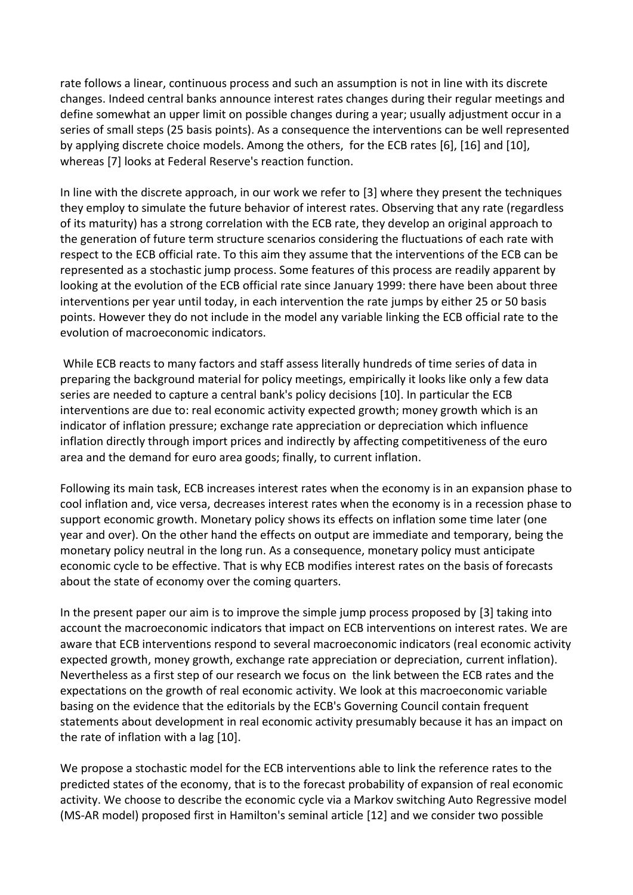rate follows a linear, continuous process and such an assumption is not in line with its discrete changes. Indeed central banks announce interest rates changes during their regular meetings and define somewhat an upper limit on possible changes during a year; usually adjustment occur in a series of small steps (25 basis points). As a consequence the interventions can be well represented by applying discrete choice models. Among the others, for the ECB rates [6], [16] and [10], whereas [7] looks at Federal Reserve's reaction function.

In line with the discrete approach, in our work we refer to [3] where they present the techniques they employ to simulate the future behavior of interest rates. Observing that any rate (regardless of its maturity) has a strong correlation with the ECB rate, they develop an original approach to the generation of future term structure scenarios considering the fluctuations of each rate with respect to the ECB official rate. To this aim they assume that the interventions of the ECB can be represented as a stochastic jump process. Some features of this process are readily apparent by looking at the evolution of the ECB official rate since January 1999: there have been about three interventions per year until today, in each intervention the rate jumps by either 25 or 50 basis points. However they do not include in the model any variable linking the ECB official rate to the evolution of macroeconomic indicators.

While ECB reacts to many factors and staff assess literally hundreds of time series of data in preparing the background material for policy meetings, empirically it looks like only a few data series are needed to capture a central bank's policy decisions [10]. In particular the ECB interventions are due to: real economic activity expected growth; money growth which is an indicator of inflation pressure; exchange rate appreciation or depreciation which influence inflation directly through import prices and indirectly by affecting competitiveness of the euro area and the demand for euro area goods; finally, to current inflation.

Following its main task, ECB increases interest rates when the economy is in an expansion phase to cool inflation and, vice versa, decreases interest rates when the economy is in a recession phase to support economic growth. Monetary policy shows its effects on inflation some time later (one year and over). On the other hand the effects on output are immediate and temporary, being the monetary policy neutral in the long run. As a consequence, monetary policy must anticipate economic cycle to be effective. That is why ECB modifies interest rates on the basis of forecasts about the state of economy over the coming quarters.

In the present paper our aim is to improve the simple jump process proposed by [3] taking into account the macroeconomic indicators that impact on ECB interventions on interest rates. We are aware that ECB interventions respond to several macroeconomic indicators (real economic activity expected growth, money growth, exchange rate appreciation or depreciation, current inflation). Nevertheless as a first step of our research we focus on the link between the ECB rates and the expectations on the growth of real economic activity. We look at this macroeconomic variable basing on the evidence that the editorials by the ECB's Governing Council contain frequent statements about development in real economic activity presumably because it has an impact on the rate of inflation with a lag [10].

We propose a stochastic model for the ECB interventions able to link the reference rates to the predicted states of the economy, that is to the forecast probability of expansion of real economic activity. We choose to describe the economic cycle via a Markov switching Auto Regressive model (MS-AR model) proposed first in Hamilton's seminal article [12] and we consider two possible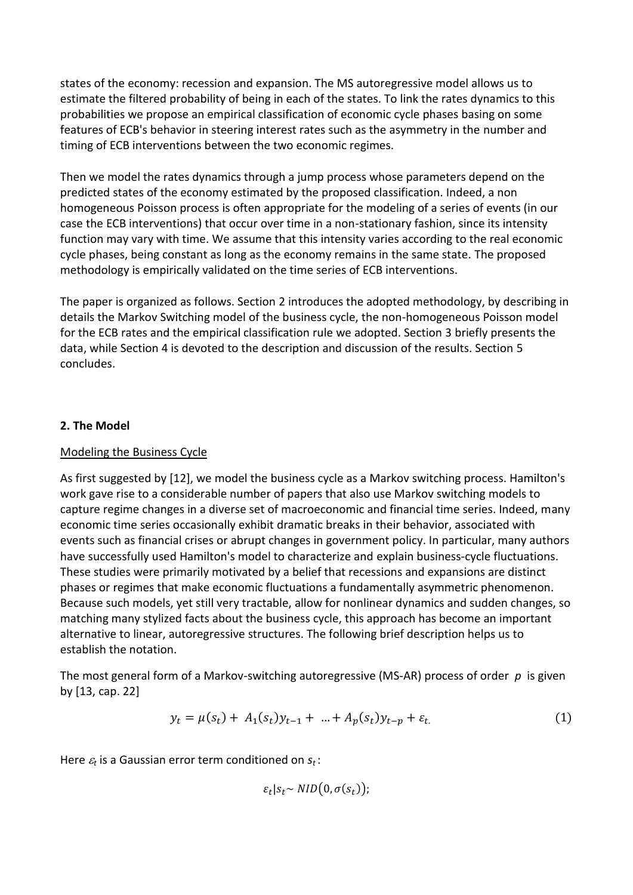states of the economy: recession and expansion. The MS autoregressive model allows us to estimate the filtered probability of being in each of the states. To link the rates dynamics to this probabilities we propose an empirical classification of economic cycle phases basing on some features of ECB's behavior in steering interest rates such as the asymmetry in the number and timing of ECB interventions between the two economic regimes.

Then we model the rates dynamics through a jump process whose parameters depend on the predicted states of the economy estimated by the proposed classification. Indeed, a non homogeneous Poisson process is often appropriate for the modeling of a series of events (in our case the ECB interventions) that occur over time in a non-stationary fashion, since its intensity function may vary with time. We assume that this intensity varies according to the real economic cycle phases, being constant as long as the economy remains in the same state. The proposed methodology is empirically validated on the time series of ECB interventions.

The paper is organized as follows. Section 2 introduces the adopted methodology, by describing in details the Markov Switching model of the business cycle, the non-homogeneous Poisson model for the ECB rates and the empirical classification rule we adopted. Section 3 briefly presents the data, while Section 4 is devoted to the description and discussion of the results. Section 5 concludes.

#### **2. The Model**

#### Modeling the Business Cycle

As first suggested by [12], we model the business cycle as a Markov switching process. Hamilton's work gave rise to a considerable number of papers that also use Markov switching models to capture regime changes in a diverse set of macroeconomic and financial time series. Indeed, many economic time series occasionally exhibit dramatic breaks in their behavior, associated with events such as financial crises or abrupt changes in government policy. In particular, many authors have successfully used Hamilton's model to characterize and explain business-cycle fluctuations. These studies were primarily motivated by a belief that recessions and expansions are distinct phases or regimes that make economic fluctuations a fundamentally asymmetric phenomenon. Because such models, yet still very tractable, allow for nonlinear dynamics and sudden changes, so matching many stylized facts about the business cycle, this approach has become an important alternative to linear, autoregressive structures. The following brief description helps us to establish the notation.

The most general form of a Markov-switching autoregressive (MS-AR) process of order *p* is given by [13, cap. 22]

$$
y_t = \mu(s_t) + A_1(s_t)y_{t-1} + \dots + A_p(s_t)y_{t-p} + \varepsilon_t.
$$
 (1)

Here *<sup>t</sup>* is a Gaussian error term conditioned on *st* :

 $\varepsilon_t | s_t \sim NID(0, \sigma(s_t))$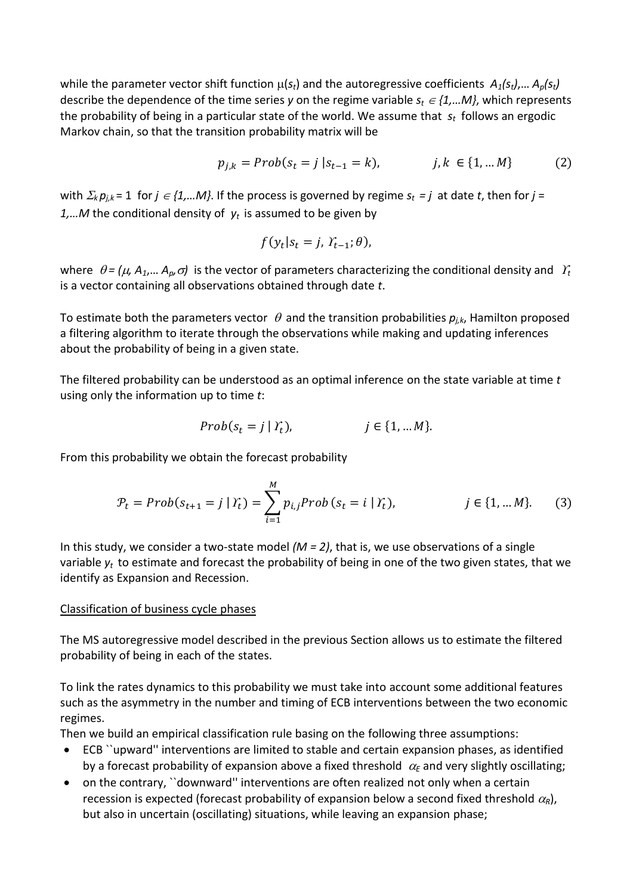while the parameter vector shift function  $\mu(s_t)$  and the autoregressive coefficients  $A_1(s_t)$ ,...  $A_p(s_t)$ describe the dependence of the time series *y* on the regime variable  $s_t \in \{1,...M\}$ , which represents the probability of being in a particular state of the world. We assume that *s<sup>t</sup>* follows an ergodic Markov chain, so that the transition probability matrix will be

$$
p_{j,k} = Prob(s_t = j | s_{t-1} = k), \qquad j, k \in \{1, ... M\}
$$
 (2)

with  $\Sigma_k p_{j,k}$  = 1 for  $j \in \{1,...M\}$ . If the process is governed by regime  $s_t = j$  at date *t*, then for  $j =$ *1,…M* the conditional density of *y<sup>t</sup>* is assumed to be given by

$$
f(y_t|s_t=j, Y_{t-1}; \theta),
$$

where  $\theta = (\mu, A_1,... A_p, \sigma)$  is the vector of parameters characterizing the conditional density and  $\ Y_t$ is a vector containing all observations obtained through date *t*.

To estimate both the parameters vector  $\theta$  and the transition probabilities  $p_{i,k}$ , Hamilton proposed a filtering algorithm to iterate through the observations while making and updating inferences about the probability of being in a given state.

The filtered probability can be understood as an optimal inference on the state variable at time *t* using only the information up to time *t*:

$$
Prob(s_t = j | Y_t), \qquad j \in \{1, \dots M\}.
$$

From this probability we obtain the forecast probability

$$
\mathcal{P}_t = Prob(s_{t+1} = j | \mathcal{Y}_t) = \sum_{i=1}^{M} p_{i,j} Prob(s_t = i | \mathcal{Y}_t), \qquad j \in \{1, \dots M\}. \tag{3}
$$

In this study, we consider a two-state model *(M = 2)*, that is, we use observations of a single variable *y<sup>t</sup>* to estimate and forecast the probability of being in one of the two given states, that we identify as Expansion and Recession.

#### Classification of business cycle phases

The MS autoregressive model described in the previous Section allows us to estimate the filtered probability of being in each of the states.

To link the rates dynamics to this probability we must take into account some additional features such as the asymmetry in the number and timing of ECB interventions between the two economic regimes.

Then we build an empirical classification rule basing on the following three assumptions:

- ECB ``upward'' interventions are limited to stable and certain expansion phases, as identified by a forecast probability of expansion above a fixed threshold  $\alpha_{\rm E}$  and very slightly oscillating;
- on the contrary, "downward" interventions are often realized not only when a certain recession is expected (forecast probability of expansion below a second fixed threshold  $\alpha_R$ ), but also in uncertain (oscillating) situations, while leaving an expansion phase;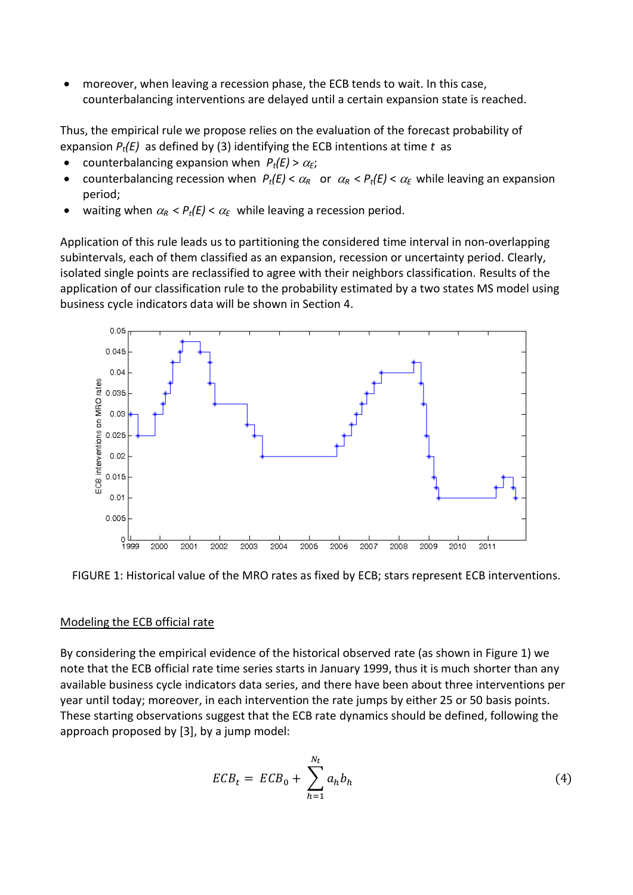moreover, when leaving a recession phase, the ECB tends to wait. In this case, counterbalancing interventions are delayed until a certain expansion state is reached.

Thus, the empirical rule we propose relies on the evaluation of the forecast probability of expansion *Pt(E)* as defined by (3) identifying the ECB intentions at time *t* as

- counterbalancing expansion when  $P_t(E) > \alpha_E$ ;
- counterbalancing recession when  $P_t(E) < \alpha_R$  or  $\alpha_R < P_t(E) < \alpha_E$  while leaving an expansion period;
- waiting when  $\alpha_R$  <  $P_t(E)$  <  $\alpha_F$  while leaving a recession period.

Application of this rule leads us to partitioning the considered time interval in non-overlapping subintervals, each of them classified as an expansion, recession or uncertainty period. Clearly, isolated single points are reclassified to agree with their neighbors classification. Results of the application of our classification rule to the probability estimated by a two states MS model using business cycle indicators data will be shown in Section 4.



FIGURE 1: Historical value of the MRO rates as fixed by ECB; stars represent ECB interventions.

#### Modeling the ECB official rate

By considering the empirical evidence of the historical observed rate (as shown in Figure 1) we note that the ECB official rate time series starts in January 1999, thus it is much shorter than any available business cycle indicators data series, and there have been about three interventions per year until today; moreover, in each intervention the rate jumps by either 25 or 50 basis points. These starting observations suggest that the ECB rate dynamics should be defined, following the approach proposed by [3], by a jump model:

$$
ECB_t = ECB_0 + \sum_{h=1}^{N_t} a_h b_h \tag{4}
$$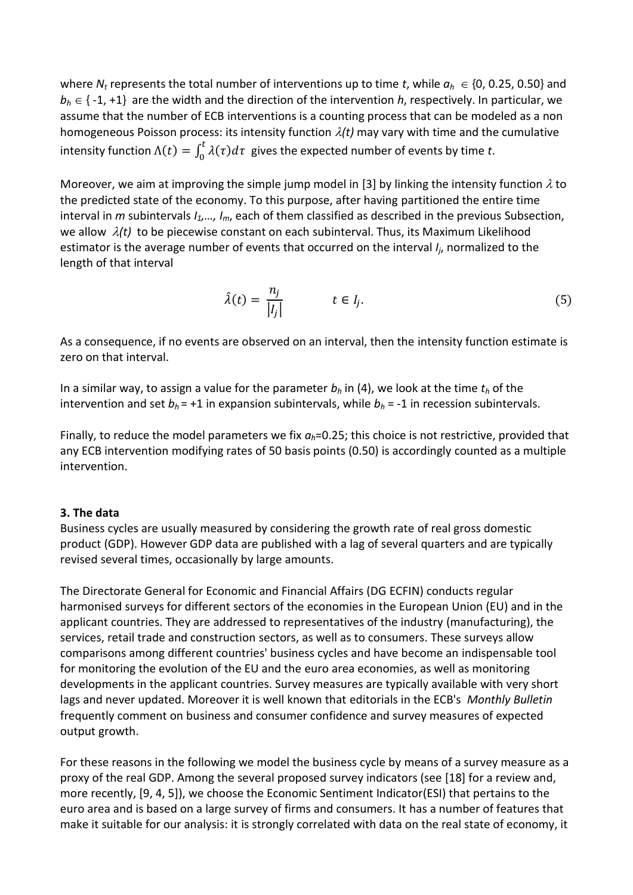where  $N_t$  represents the total number of interventions up to time *t*, while  $a_h \in \{0, 0.25, 0.50\}$  and  $b_h \in \{-1, +1\}$  are the width and the direction of the intervention *h*, respectively. In particular, we assume that the number of ECB interventions is a counting process that can be modeled as a non homogeneous Poisson process: its intensity function  $\lambda(t)$  may vary with time and the cumulative intensity function  $\Lambda(t) = \int_0^t \lambda(\tau) d\tau$  gives the expected number of events by time *t*.

Moreover, we aim at improving the simple jump model in [3] by linking the intensity function  $\lambda$  to the predicted state of the economy. To this purpose, after having partitioned the entire time interval in *m* subintervals *I1,…, Im*, each of them classified as described in the previous Subsection, we allow  $\lambda(t)$  to be piecewise constant on each subinterval. Thus, its Maximum Likelihood estimator is the average number of events that occurred on the interval *I<sup>j</sup>* , normalized to the length of that interval

$$
\hat{\lambda}(t) = \frac{n_j}{|I_j|} \qquad t \in I_j. \tag{5}
$$

As a consequence, if no events are observed on an interval, then the intensity function estimate is zero on that interval.

In a similar way, to assign a value for the parameter *b<sup>h</sup>* in (4), we look at the time *t<sup>h</sup>* of the intervention and set  $b_h$  = +1 in expansion subintervals, while  $b_h$  = -1 in recession subintervals.

Finally, to reduce the model parameters we fix *ah*=0.25; this choice is not restrictive, provided that any ECB intervention modifying rates of 50 basis points (0.50) is accordingly counted as a multiple intervention.

#### **3. The data**

Business cycles are usually measured by considering the growth rate of real gross domestic product (GDP). However GDP data are published with a lag of several quarters and are typically revised several times, occasionally by large amounts.

The Directorate General for Economic and Financial Affairs (DG ECFIN) conducts regular harmonised surveys for different sectors of the economies in the European Union (EU) and in the applicant countries. They are addressed to representatives of the industry (manufacturing), the services, retail trade and construction sectors, as well as to consumers. These surveys allow comparisons among different countries' business cycles and have become an indispensable tool for monitoring the evolution of the EU and the euro area economies, as well as monitoring developments in the applicant countries. Survey measures are typically available with very short lags and never updated. Moreover it is well known that editorials in the ECB's *Monthly Bulletin* frequently comment on business and consumer confidence and survey measures of expected output growth.

For these reasons in the following we model the business cycle by means of a survey measure as a proxy of the real GDP. Among the several proposed survey indicators (see [18] for a review and, more recently, [9, 4, 5]), we choose the Economic Sentiment Indicator(ESI) that pertains to the euro area and is based on a large survey of firms and consumers. It has a number of features that make it suitable for our analysis: it is strongly correlated with data on the real state of economy, it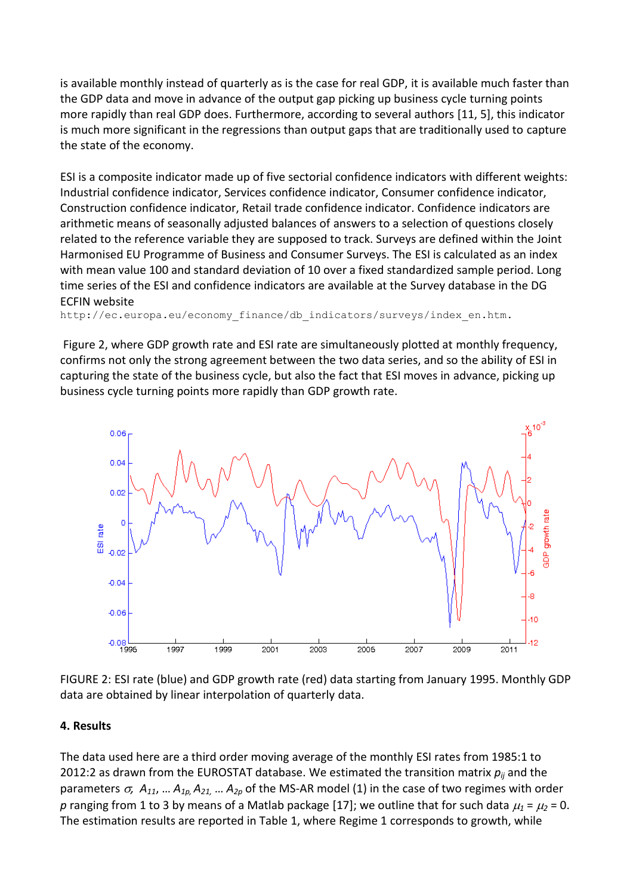is available monthly instead of quarterly as is the case for real GDP, it is available much faster than the GDP data and move in advance of the output gap picking up business cycle turning points more rapidly than real GDP does. Furthermore, according to several authors [11, 5], this indicator is much more significant in the regressions than output gaps that are traditionally used to capture the state of the economy.

ESI is a composite indicator made up of five sectorial confidence indicators with different weights: Industrial confidence indicator, Services confidence indicator, Consumer confidence indicator, Construction confidence indicator, Retail trade confidence indicator. Confidence indicators are arithmetic means of seasonally adjusted balances of answers to a selection of questions closely related to the reference variable they are supposed to track. Surveys are defined within the Joint Harmonised EU Programme of Business and Consumer Surveys. The ESI is calculated as an index with mean value 100 and standard deviation of 10 over a fixed standardized sample period. Long time series of the ESI and confidence indicators are available at the Survey database in the DG ECFIN website

http://ec.europa.eu/economy\_finance/db\_indicators/surveys/index\_en.htm.

Figure 2, where GDP growth rate and ESI rate are simultaneously plotted at monthly frequency, confirms not only the strong agreement between the two data series, and so the ability of ESI in capturing the state of the business cycle, but also the fact that ESI moves in advance, picking up business cycle turning points more rapidly than GDP growth rate.



FIGURE 2: ESI rate (blue) and GDP growth rate (red) data starting from January 1995. Monthly GDP data are obtained by linear interpolation of quarterly data.

#### **4. Results**

The data used here are a third order moving average of the monthly ESI rates from 1985:1 to 2012:2 as drawn from the EUROSTAT database. We estimated the transition matrix *pij* and the parameters  $\sigma$ ,  $A_{11}$ , ...  $A_{1p}$ ,  $A_{21}$ , ...  $A_{2p}$  of the MS-AR model (1) in the case of two regimes with order *p* ranging from 1 to 3 by means of a Matlab package [17]; we outline that for such data  $\mu_1 = \mu_2 = 0$ . The estimation results are reported in Table 1, where Regime 1 corresponds to growth, while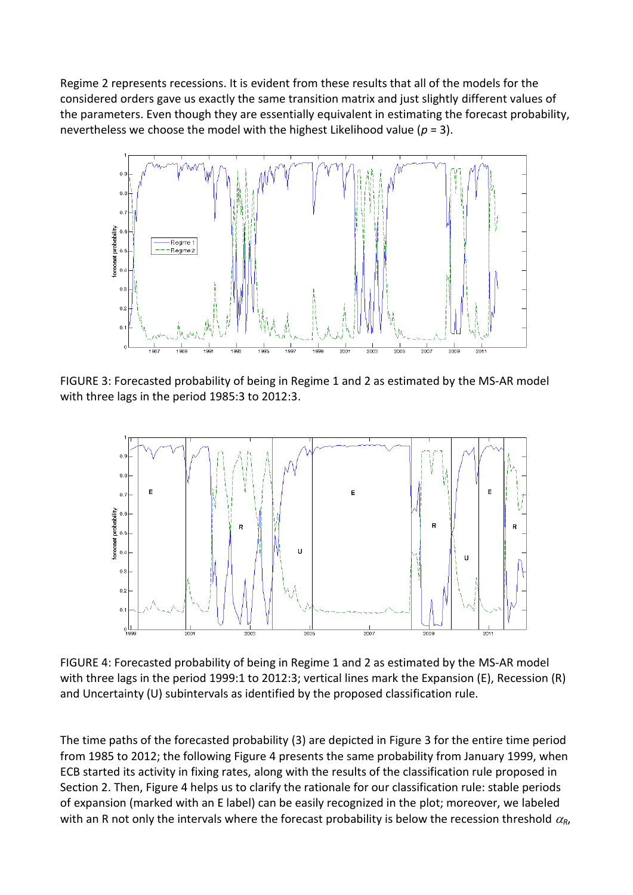Regime 2 represents recessions. It is evident from these results that all of the models for the considered orders gave us exactly the same transition matrix and just slightly different values of the parameters. Even though they are essentially equivalent in estimating the forecast probability, nevertheless we choose the model with the highest Likelihood value (*p* = 3).



FIGURE 3: Forecasted probability of being in Regime 1 and 2 as estimated by the MS-AR model with three lags in the period 1985:3 to 2012:3.



FIGURE 4: Forecasted probability of being in Regime 1 and 2 as estimated by the MS-AR model with three lags in the period 1999:1 to 2012:3; vertical lines mark the Expansion (E), Recession (R) and Uncertainty (U) subintervals as identified by the proposed classification rule.

The time paths of the forecasted probability (3) are depicted in Figure 3 for the entire time period from 1985 to 2012; the following Figure 4 presents the same probability from January 1999, when ECB started its activity in fixing rates, along with the results of the classification rule proposed in Section 2. Then, Figure 4 helps us to clarify the rationale for our classification rule: stable periods of expansion (marked with an E label) can be easily recognized in the plot; moreover, we labeled with an R not only the intervals where the forecast probability is below the recession threshold  $\alpha_{\rm R}$ ,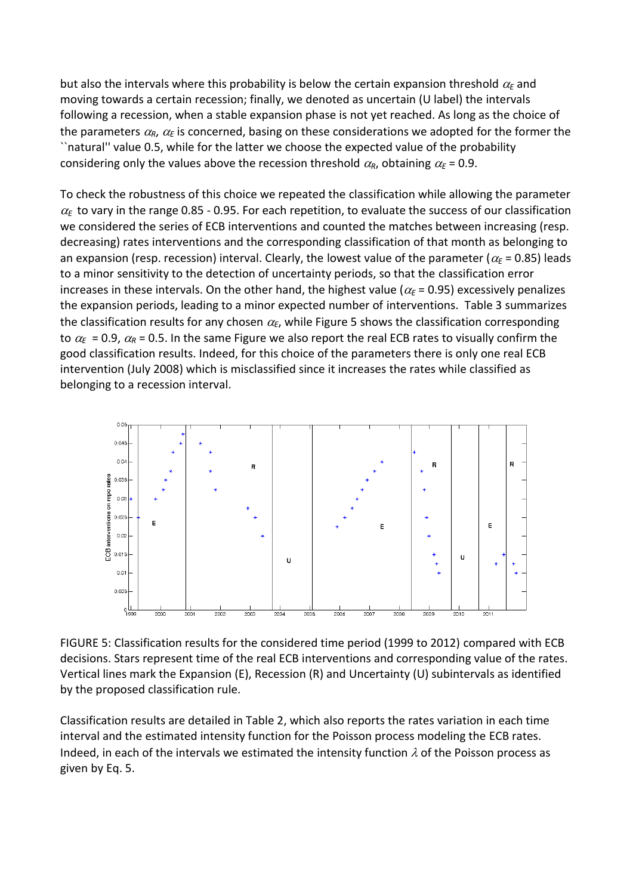but also the intervals where this probability is below the certain expansion threshold  $\alpha_{\rm E}$  and moving towards a certain recession; finally, we denoted as uncertain (U label) the intervals following a recession, when a stable expansion phase is not yet reached. As long as the choice of the parameters  $\alpha_R$ ,  $\alpha_E$  is concerned, basing on these considerations we adopted for the former the ``natural'' value 0.5, while for the latter we choose the expected value of the probability considering only the values above the recession threshold  $\alpha_R$ , obtaining  $\alpha_F = 0.9$ .

To check the robustness of this choice we repeated the classification while allowing the parameter  $\alpha_{\rm F}$  to vary in the range 0.85 - 0.95. For each repetition, to evaluate the success of our classification we considered the series of ECB interventions and counted the matches between increasing (resp. decreasing) rates interventions and the corresponding classification of that month as belonging to an expansion (resp. recession) interval. Clearly, the lowest value of the parameter ( $\alpha$ <sub>E</sub> = 0.85) leads to a minor sensitivity to the detection of uncertainty periods, so that the classification error increases in these intervals. On the other hand, the highest value ( $\alpha_{\rm E}$  = 0.95) excessively penalizes the expansion periods, leading to a minor expected number of interventions. Table 3 summarizes the classification results for any chosen  $\alpha_E$ , while Figure 5 shows the classification corresponding to  $\alpha_F$  = 0.9,  $\alpha_R$  = 0.5. In the same Figure we also report the real ECB rates to visually confirm the good classification results. Indeed, for this choice of the parameters there is only one real ECB intervention (July 2008) which is misclassified since it increases the rates while classified as belonging to a recession interval.



FIGURE 5: Classification results for the considered time period (1999 to 2012) compared with ECB decisions. Stars represent time of the real ECB interventions and corresponding value of the rates. Vertical lines mark the Expansion (E), Recession (R) and Uncertainty (U) subintervals as identified by the proposed classification rule.

Classification results are detailed in Table 2, which also reports the rates variation in each time interval and the estimated intensity function for the Poisson process modeling the ECB rates. Indeed, in each of the intervals we estimated the intensity function  $\lambda$  of the Poisson process as given by Eq. 5.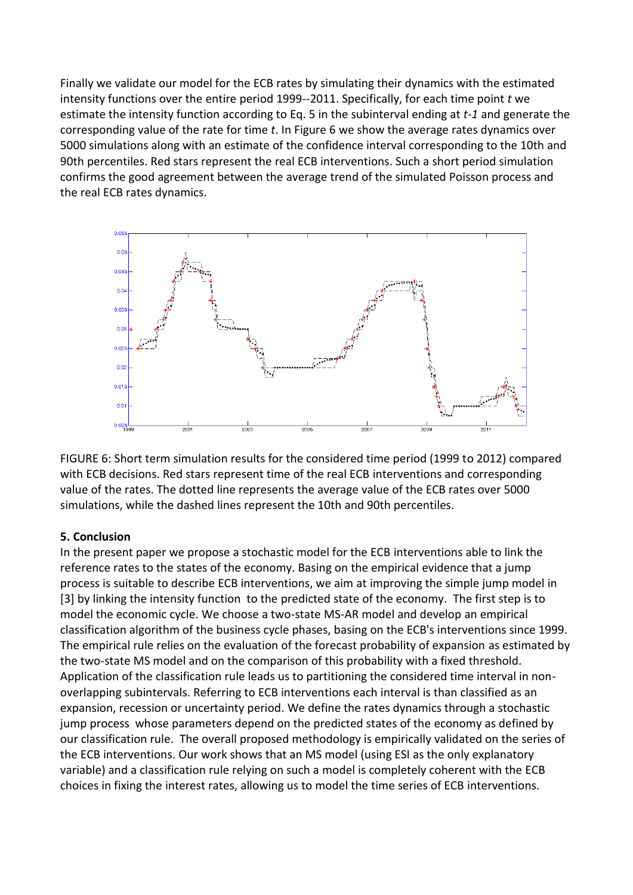Finally we validate our model for the ECB rates by simulating their dynamics with the estimated intensity functions over the entire period 1999--2011. Specifically, for each time point *t* we estimate the intensity function according to Eq. 5 in the subinterval ending at *t-1* and generate the corresponding value of the rate for time *t*. In Figure 6 we show the average rates dynamics over 5000 simulations along with an estimate of the confidence interval corresponding to the 10th and 90th percentiles. Red stars represent the real ECB interventions. Such a short period simulation confirms the good agreement between the average trend of the simulated Poisson process and the real ECB rates dynamics.



FIGURE 6: Short term simulation results for the considered time period (1999 to 2012) compared with ECB decisions. Red stars represent time of the real ECB interventions and corresponding value of the rates. The dotted line represents the average value of the ECB rates over 5000 simulations, while the dashed lines represent the 10th and 90th percentiles.

#### **5. Conclusion**

In the present paper we propose a stochastic model for the ECB interventions able to link the reference rates to the states of the economy. Basing on the empirical evidence that a jump process is suitable to describe ECB interventions, we aim at improving the simple jump model in [3] by linking the intensity function to the predicted state of the economy. The first step is to model the economic cycle. We choose a two-state MS-AR model and develop an empirical classification algorithm of the business cycle phases, basing on the ECB's interventions since 1999. The empirical rule relies on the evaluation of the forecast probability of expansion as estimated by the two-state MS model and on the comparison of this probability with a fixed threshold. Application of the classification rule leads us to partitioning the considered time interval in nonoverlapping subintervals. Referring to ECB interventions each interval is than classified as an expansion, recession or uncertainty period. We define the rates dynamics through a stochastic jump process whose parameters depend on the predicted states of the economy as defined by our classification rule. The overall proposed methodology is empirically validated on the series of the ECB interventions. Our work shows that an MS model (using ESI as the only explanatory variable) and a classification rule relying on such a model is completely coherent with the ECB choices in fixing the interest rates, allowing us to model the time series of ECB interventions.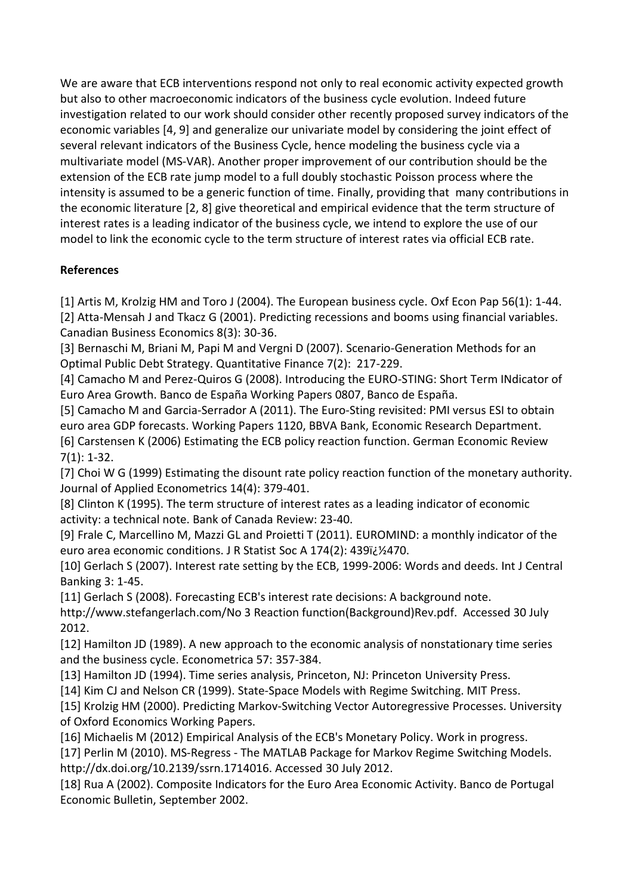We are aware that ECB interventions respond not only to real economic activity expected growth but also to other macroeconomic indicators of the business cycle evolution. Indeed future investigation related to our work should consider other recently proposed survey indicators of the economic variables [4, 9] and generalize our univariate model by considering the joint effect of several relevant indicators of the Business Cycle, hence modeling the business cycle via a multivariate model (MS-VAR). Another proper improvement of our contribution should be the extension of the ECB rate jump model to a full doubly stochastic Poisson process where the intensity is assumed to be a generic function of time. Finally, providing that many contributions in the economic literature [2, 8] give theoretical and empirical evidence that the term structure of interest rates is a leading indicator of the business cycle, we intend to explore the use of our model to link the economic cycle to the term structure of interest rates via official ECB rate.

## **References**

[1] Artis M, Krolzig HM and Toro J (2004). The European business cycle. Oxf Econ Pap 56(1): 1-44. [2] Atta-Mensah J and Tkacz G (2001). Predicting recessions and booms using financial variables. Canadian Business Economics 8(3): 30-36.

[3] Bernaschi M, Briani M, Papi M and Vergni D (2007). Scenario-Generation Methods for an Optimal Public Debt Strategy. Quantitative Finance 7(2): 217-229.

[4] Camacho M and Perez-Quiros G (2008). Introducing the EURO-STING: Short Term INdicator of Euro Area Growth. Banco de España Working Papers 0807, Banco de España.

[5] Camacho M and Garcia-Serrador A (2011). The Euro-Sting revisited: PMI versus ESI to obtain euro area GDP forecasts. Working Papers 1120, BBVA Bank, Economic Research Department. [6] Carstensen K (2006) Estimating the ECB policy reaction function. German Economic Review 7(1): 1-32.

[7] Choi W G (1999) Estimating the disount rate policy reaction function of the monetary authority. Journal of Applied Econometrics 14(4): 379-401.

[8] Clinton K (1995). The term structure of interest rates as a leading indicator of economic activity: a technical note. Bank of Canada Review: 23-40.

[9] Frale C, Marcellino M, Mazzi GL and Proietti T (2011). EUROMIND: a monthly indicator of the euro area economic conditions. J R Statist Soc A 174(2): 439i¿1/2470.

[10] Gerlach S (2007). Interest rate setting by the ECB, 1999-2006: Words and deeds. Int J Central Banking 3: 1-45.

[11] Gerlach S (2008). Forecasting ECB's interest rate decisions: A background note.

http://www.stefangerlach.com/No 3 Reaction function(Background)Rev.pdf. Accessed 30 July 2012.

[12] Hamilton JD (1989). A new approach to the economic analysis of nonstationary time series and the business cycle. Econometrica 57: 357-384.

[13] Hamilton JD (1994). Time series analysis, Princeton, NJ: Princeton University Press.

[14] Kim CJ and Nelson CR (1999). State-Space Models with Regime Switching. MIT Press.

[15] Krolzig HM (2000). Predicting Markov-Switching Vector Autoregressive Processes. University of Oxford Economics Working Papers.

[16] Michaelis M (2012) Empirical Analysis of the ECB's Monetary Policy. Work in progress.

[17] Perlin M (2010). MS-Regress - The MATLAB Package for Markov Regime Switching Models. http://dx.doi.org/10.2139/ssrn.1714016. Accessed 30 July 2012.

[18] Rua A (2002). Composite Indicators for the Euro Area Economic Activity. Banco de Portugal Economic Bulletin, September 2002.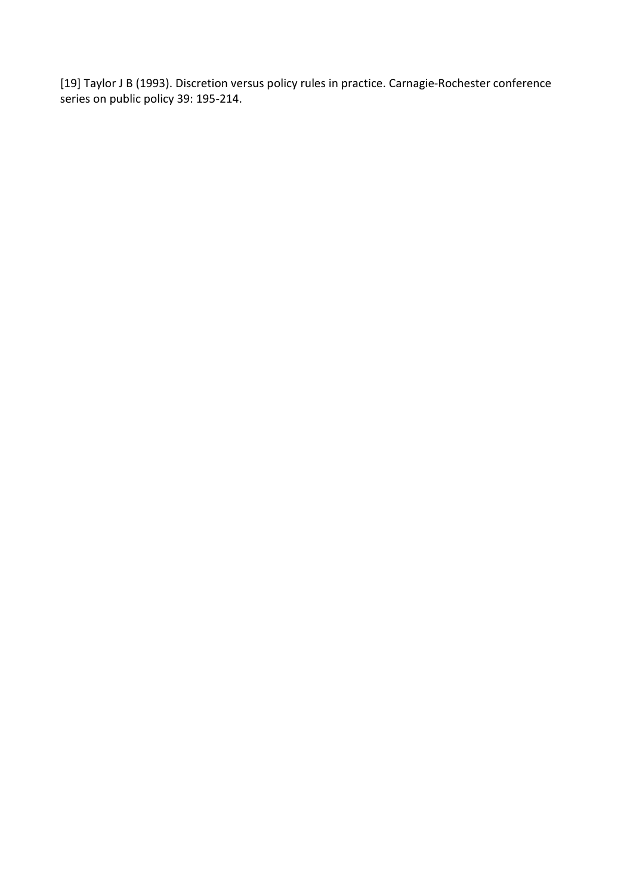[19] Taylor J B (1993). Discretion versus policy rules in practice. Carnagie-Rochester conference series on public policy 39: 195-214.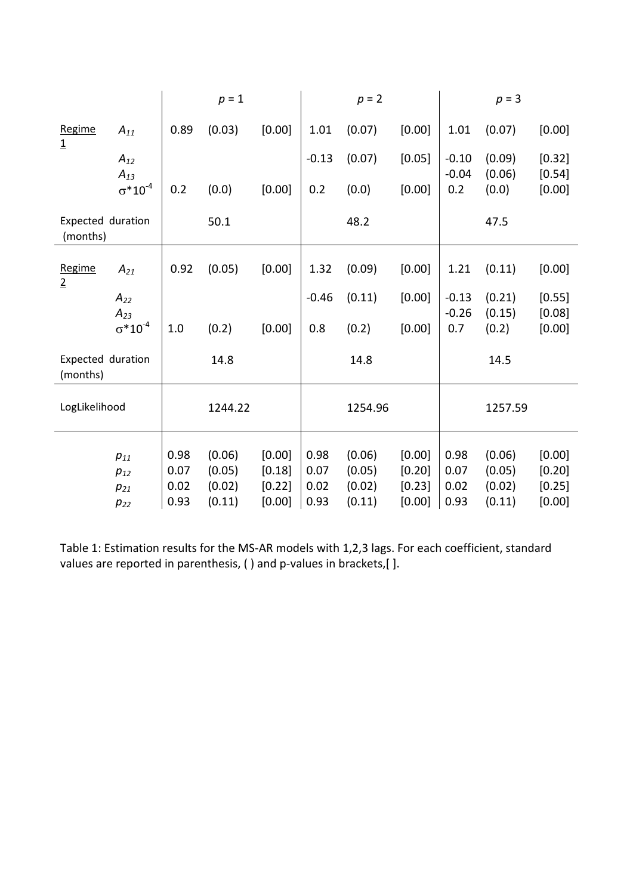|                               |                      | $p = 1$ |         | $p = 2$ |         |         | $p = 3$ |                    |                  |                    |
|-------------------------------|----------------------|---------|---------|---------|---------|---------|---------|--------------------|------------------|--------------------|
| Regime<br>$\overline{1}$      | $A_{11}$             | 0.89    | (0.03)  | [0.00]  | 1.01    | (0.07)  | [0.00]  | 1.01               | (0.07)           | [0.00]             |
|                               | $A_{12}$<br>$A_{13}$ |         |         |         | $-0.13$ | (0.07)  | [0.05]  | $-0.10$<br>$-0.04$ | (0.09)<br>(0.06) | [0.32]<br>[0.54]   |
|                               | $\sigma^* 10^{-4}$   | 0.2     | (0.0)   | [0.00]  | 0.2     | (0.0)   | [0.00]  | 0.2                | (0.0)            | [0.00]             |
| Expected duration<br>(months) |                      |         | 50.1    |         |         | 48.2    |         |                    | 47.5             |                    |
| Regime<br>$\overline{2}$      | $A_{21}$             | 0.92    | (0.05)  | [0.00]  | 1.32    | (0.09)  | [0.00]  | 1.21               | (0.11)           | [0.00]             |
|                               | $A_{22}$<br>$A_{23}$ |         |         |         | $-0.46$ | (0.11)  | [0.00]  | $-0.13$<br>$-0.26$ | (0.21)<br>(0.15) | $[0.55]$<br>[0.08] |
|                               | $\sigma^* 10^{-4}$   | 1.0     | (0.2)   | [0.00]  | 0.8     | (0.2)   | [0.00]  | 0.7                | (0.2)            | [0.00]             |
| Expected duration<br>(months) |                      |         | 14.8    |         |         | 14.8    |         |                    | 14.5             |                    |
| LogLikelihood                 |                      |         | 1244.22 |         |         | 1254.96 |         |                    | 1257.59          |                    |
|                               | $p_{11}$             | 0.98    | (0.06)  | [0.00]  | 0.98    | (0.06)  | [0.00]  | 0.98               | (0.06)           | [0.00]             |
|                               | $p_{12}$             | 0.07    | (0.05)  | [0.18]  | 0.07    | (0.05)  | [0.20]  | 0.07               | (0.05)           | [0.20]             |
|                               | $p_{21}$             | 0.02    | (0.02)  | [0.22]  | 0.02    | (0.02)  | [0.23]  | 0.02               | (0.02)           | [0.25]             |
|                               | $p_{22}$             | 0.93    | (0.11)  | [0.00]  | 0.93    | (0.11)  | [0.00]  | 0.93               | (0.11)           | [0.00]             |

Table 1: Estimation results for the MS-AR models with 1,2,3 lags. For each coefficient, standard values are reported in parenthesis, ( ) and p-values in brackets,[ ].